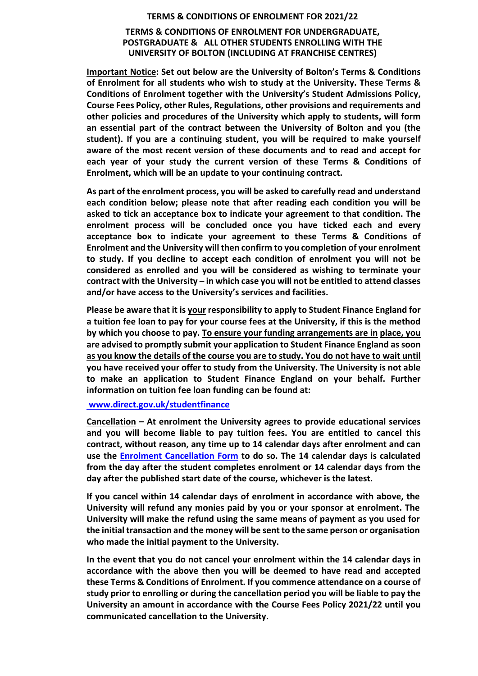## **TERMS & CONDITIONS OF ENROLMENT FOR 2021/22**

## **TERMS & CONDITIONS OF ENROLMENT FOR UNDERGRADUATE, POSTGRADUATE & ALL OTHER STUDENTS ENROLLING WITH THE UNIVERSITY OF BOLTON (INCLUDING AT FRANCHISE CENTRES)**

**Important Notice: Set out below are the University of Bolton's Terms & Conditions of Enrolment for all students who wish to study at the University. These Terms & Conditions of Enrolment together with the University's Student Admissions Policy, Course Fees Policy, other Rules, Regulations, other provisions and requirements and other policies and procedures of the University which apply to students, will form an essential part of the contract between the University of Bolton and you (the student). If you are a continuing student, you will be required to make yourself aware of the most recent version of these documents and to read and accept for each year of your study the current version of these Terms & Conditions of Enrolment, which will be an update to your continuing contract.**

**As part of the enrolment process, you will be asked to carefully read and understand each condition below; please note that after reading each condition you will be asked to tick an acceptance box to indicate your agreement to that condition. The enrolment process will be concluded once you have ticked each and every acceptance box to indicate your agreement to these Terms & Conditions of Enrolment and the University will then confirm to you completion of your enrolment to study. If you decline to accept each condition of enrolment you will not be considered as enrolled and you will be considered as wishing to terminate your contract with the University – in which case you will not be entitled to attend classes and/or have access to the University's services and facilities.**

**Please be aware that it is your responsibility to apply to Student Finance England for a tuition fee loan to pay for your course fees at the University, if this is the method by which you choose to pay. To ensure your funding arrangements are in place, you are advised to promptly submit your application to Student Finance England as soon as you know the details of the course you are to study. You do not have to wait until you have received your offer to study from the University. The University is not able to make an application to Student Finance England on your behalf. Further information on tuition fee loan funding can be found at:**

## **[www.direct.gov.uk/studentfinance](http://www.direct.gov.uk/studentfinance)**

**Cancellation – At enrolment the University agrees to provide educational services and you will become liable to pay tuition fees. You are entitled to cancel this contract, without reason, any time up to 14 calendar days after enrolment and can use the [Enrolment Cancellation Form](https://www.bolton.ac.uk/about/governance/policies/student-policies/) to do so. The 14 calendar days is calculated from the day after the student completes enrolment or 14 calendar days from the day after the published start date of the course, whichever is the latest.**

**If you cancel within 14 calendar days of enrolment in accordance with above, the University will refund any monies paid by you or your sponsor at enrolment. The University will make the refund using the same means of payment as you used for the initial transaction and the money will be sent to the same person or organisation who made the initial payment to the University.**

**In the event that you do not cancel your enrolment within the 14 calendar days in accordance with the above then you will be deemed to have read and accepted these Terms & Conditions of Enrolment. If you commence attendance on a course of study prior to enrolling or during the cancellation period you will be liable to pay the University an amount in accordance with the Course Fees Policy 2021/22 until you communicated cancellation to the University.**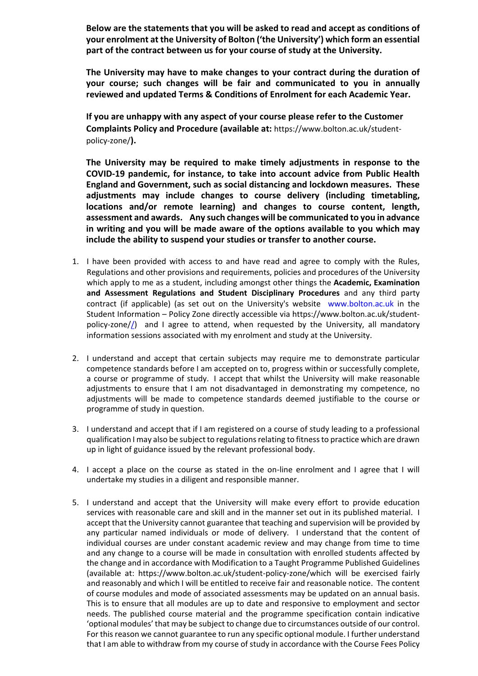**Below are the statements that you will be asked to read and accept as conditions of your enrolment at the University of Bolton ('the University') which form an essential part of the contract between us for your course of study at the University.**

**The University may have to make changes to your contract during the duration of your course; such changes will be fair and communicated to you in annually reviewed and updated Terms & Conditions of Enrolment for each Academic Year.**

**If you are unhappy with any aspect of your course please refer to the Customer Complaints Policy and Procedure (available at:** https://www.bolton.ac.uk/studentpolicy-zone/**).** 

**The University may be required to make timely adjustments in response to the COVID-19 pandemic, for instance, to take into account advice from Public Health England and Government, such as social distancing and lockdown measures. These adjustments may include changes to course delivery (including timetabling, locations and/or remote learning) and changes to course content, length, assessment and awards. Any such changes will be communicated to you in advance in writing and you will be made aware of the options available to you which may include the ability to suspend your studies or transfer to another course.**

- 1. I have been provided with access to and have read and agree to comply with the Rules, Regulations and other provisions and requirements, policies and procedures of the University which apply to me as a student, including amongst other things the **Academic, Examination and Assessment Regulations and Student Disciplinary Procedures** and any third party contract (if applicable) (as set out on the University's website [www.bolton.ac.uk](http://www.bolton.ac.uk/) in the Student Information – Policy Zone directly accessible via [https://www.bolton.ac.uk/student](https://www.bolton.ac.uk/about/governance/policies/student-policies/)[policy-zone//\)](https://www.bolton.ac.uk/about/governance/policies/student-policies/) and I agree to attend, when requested by the University, all mandatory information sessions associated with my enrolment and study at the University.
- 2. I understand and accept that certain subjects may require me to demonstrate particular competence standards before I am accepted on to, progress within or successfully complete, a course or programme of study. I accept that whilst the University will make reasonable adjustments to ensure that I am not disadvantaged in demonstrating my competence, no adjustments will be made to competence standards deemed justifiable to the course or programme of study in question.
- 3. I understand and accept that if I am registered on a course of study leading to a professional qualification I may also be subject to regulations relating to fitness to practice which are drawn up in light of guidance issued by the relevant professional body.
- 4. I accept a place on the course as stated in the on-line enrolment and I agree that I will undertake my studies in a diligent and responsible manner.
- 5. I understand and accept that the University will make every effort to provide education services with reasonable care and skill and in the manner set out in its published material. I accept that the University cannot guarantee that teaching and supervision will be provided by any particular named individuals or mode of delivery. I understand that the content of individual courses are under constant academic review and may change from time to time and any change to a course will be made in consultation with enrolled students affected by the change and in accordance with Modification to a Taught Programme Published Guidelines (available at: https://www.bolton.ac.uk/student-policy-zone/which will be exercised fairly and reasonably and which I will be entitled to receive fair and reasonable notice. The content of course modules and mode of associated assessments may be updated on an annual basis. This is to ensure that all modules are up to date and responsive to employment and sector needs. The published course material and the programme specification contain indicative 'optional modules' that may be subject to change due to circumstances outside of our control. For this reason we cannot guarantee to run any specific optional module. I further understand that I am able to withdraw from my course of study in accordance with the Course Fees Policy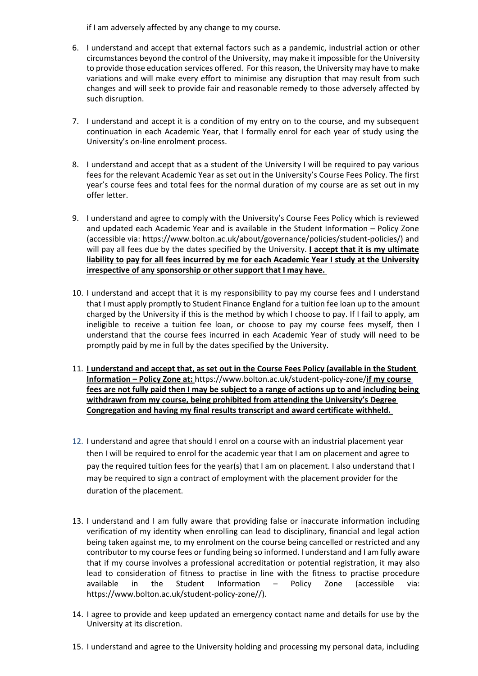if I am adversely affected by any change to my course.

- 6. I understand and accept that external factors such as a pandemic, industrial action or other circumstances beyond the control of the University, may make it impossible for the University to provide those education services offered. For this reason, the University may have to make variations and will make every effort to minimise any disruption that may result from such changes and will seek to provide fair and reasonable remedy to those adversely affected by such disruption.
- 7. I understand and accept it is a condition of my entry on to the course, and my subsequent continuation in each Academic Year, that I formally enrol for each year of study using the University's on-line enrolment process.
- 8. I understand and accept that as a student of the University I will be required to pay various fees for the relevant Academic Year as set out in the University's Course Fees Policy. The first year's course fees and total fees for the normal duration of my course are as set out in my offer letter.
- 9. I understand and agree to comply with the University's Course Fees Policy which is reviewed and updated each Academic Year and is available in the Student Information – Policy Zone (accessible via: https://www.bolton.ac.uk/about/governance/policies/student-policies/) and will pay all fees due by the dates specified by the University. **I accept that it is my ultimate liability to pay for all fees incurred by me for each Academic Year I study at the University irrespective of any sponsorship or other support that I may have.**
- 10. I understand and accept that it is my responsibility to pay my course fees and I understand that I must apply promptly to Student Finance England for a tuition fee loan up to the amount charged by the University if this is the method by which I choose to pay. If I fail to apply, am ineligible to receive a tuition fee loan, or choose to pay my course fees myself, then I understand that the course fees incurred in each Academic Year of study will need to be promptly paid by me in full by the dates specified by the University.
- 11. **I understand and accept that, as set out in the Course Fees Policy (available in the Student Information – Policy Zone at:** https://www.bolton.ac.uk/student-policy-zone/**if my course fees are not fully paid then I may be subject to a range of actions up to and including being withdrawn from my course, being prohibited from attending the University's Degree Congregation and having my final results transcript and award certificate withheld.**
- 12. I understand and agree that should I enrol on a course with an industrial placement year then I will be required to enrol for the academic year that I am on placement and agree to pay the required tuition fees for the year(s) that I am on placement. I also understand that I may be required to sign a contract of employment with the placement provider for the duration of the placement.
- 13. I understand and I am fully aware that providing false or inaccurate information including verification of my identity when enrolling can lead to disciplinary, financial and legal action being taken against me, to my enrolment on the course being cancelled or restricted and any contributor to my course fees or funding being so informed. I understand and I am fully aware that if my course involves a professional accreditation or potential registration, it may also lead to consideration of fitness to practise in line with the fitness to practise procedure available in the Student Information – Policy Zone (accessible via: https://www.bolton.ac.uk/student-policy-zone//).
- 14. I agree to provide and keep updated an emergency contact name and details for use by the University at its discretion.
- 15. I understand and agree to the University holding and processing my personal data, including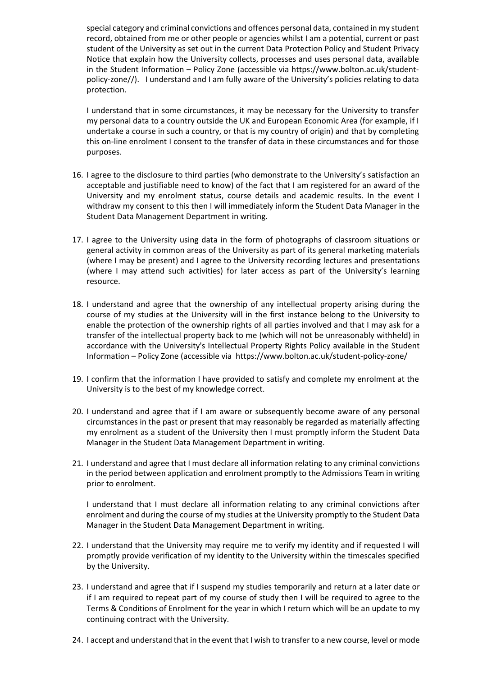special category and criminal convictions and offences personal data, contained in my student record, obtained from me or other people or agencies whilst I am a potential, current or past student of the University as set out in the current Data Protection Policy and Student Privacy Notice that explain how the University collects, processes and uses personal data, available in the Student Information – Policy Zone (accessible via https://www.bolton.ac.uk/studentpolicy-zone//). I understand and I am fully aware of the University's policies relating to data protection.

I understand that in some circumstances, it may be necessary for the University to transfer my personal data to a country outside the UK and European Economic Area (for example, if I undertake a course in such a country, or that is my country of origin) and that by completing this on-line enrolment I consent to the transfer of data in these circumstances and for those purposes.

- 16. I agree to the disclosure to third parties (who demonstrate to the University's satisfaction an acceptable and justifiable need to know) of the fact that I am registered for an award of the University and my enrolment status, course details and academic results. In the event I withdraw my consent to this then I will immediately inform the Student Data Manager in the Student Data Management Department in writing.
- 17. I agree to the University using data in the form of photographs of classroom situations or general activity in common areas of the University as part of its general marketing materials (where I may be present) and I agree to the University recording lectures and presentations (where I may attend such activities) for later access as part of the University's learning resource.
- 18. I understand and agree that the ownership of any intellectual property arising during the course of my studies at the University will in the first instance belong to the University to enable the protection of the ownership rights of all parties involved and that I may ask for a transfer of the intellectual property back to me (which will not be unreasonably withheld) in accordance with the University's Intellectual Property Rights Policy available in the Student Information – Policy Zone (accessible via https://www.bolton.ac.uk/student-policy-zone/
- 19. I confirm that the information I have provided to satisfy and complete my enrolment at the University is to the best of my knowledge correct.
- 20. I understand and agree that if I am aware or subsequently become aware of any personal circumstances in the past or present that may reasonably be regarded as materially affecting my enrolment as a student of the University then I must promptly inform the Student Data Manager in the Student Data Management Department in writing.
- 21. I understand and agree that I must declare all information relating to any criminal convictions in the period between application and enrolment promptly to the Admissions Team in writing prior to enrolment.

I understand that I must declare all information relating to any criminal convictions after enrolment and during the course of my studies at the University promptly to the Student Data Manager in the Student Data Management Department in writing.

- 22. I understand that the University may require me to verify my identity and if requested I will promptly provide verification of my identity to the University within the timescales specified by the University.
- 23. I understand and agree that if I suspend my studies temporarily and return at a later date or if I am required to repeat part of my course of study then I will be required to agree to the Terms & Conditions of Enrolment for the year in which I return which will be an update to my continuing contract with the University.
- 24. I accept and understand that in the event that I wish to transfer to a new course, level or mode